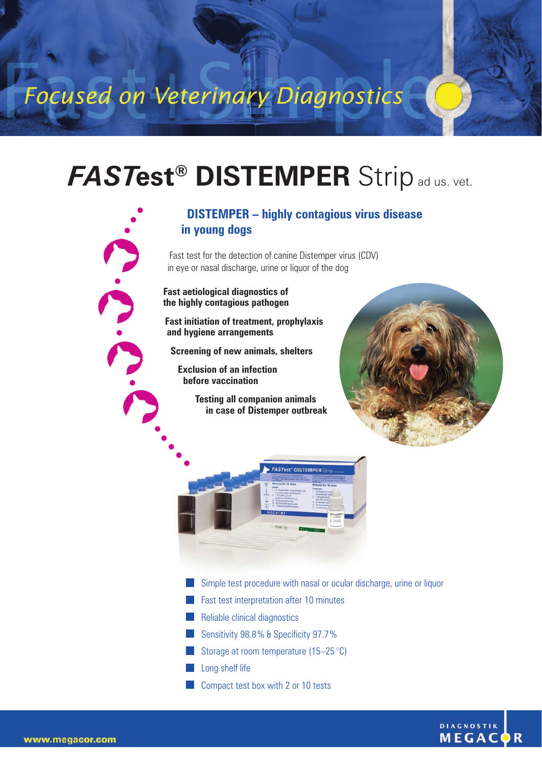Focused on Veterinary Diagnostics

## *FAST***est® DISTEMPER** Stripad us. vet.

## **DISTEMPER – highly contagious virus disease in young dogs**

Fast test for the detection of canine Distemper virus (CDV) in eye or nasal discharge, urine or liquor of the dog

**Fast aetiological diagnostics of the highly contagious pathogen**

**Fast initiation of treatment, prophylaxis and hygiene arrangements** 

**Screening of new animals, shelters**

**Exclusion of an infection before vaccination**

> **Testing all companion animals in case of Distemper outbreak**





- Simple test procedure with nasal or ocular discharge, urine or liquor
- **Fast test interpretation after 10 minutes**
- **Reliable clinical diagnostics**
- Sensitivity 98.8% & Specificity 97.7%
- Storage at room temperature  $(15-25 \degree C)$
- **Long shelf life**
- **Compact test box with 2 or 10 tests**